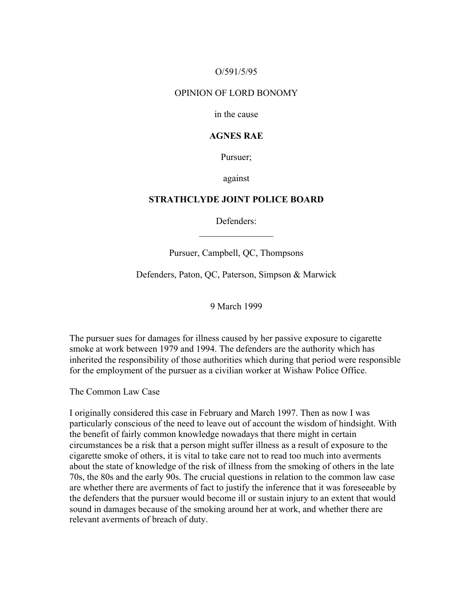# O/591/5/95

#### OPINION OF LORD BONOMY

in the cause

# **AGNES RAE**

Pursuer;

against

# **STRATHCLYDE JOINT POLICE BOARD**

Defenders:  $\mathcal{L}_\text{max}$  , where  $\mathcal{L}_\text{max}$ 

Pursuer, Campbell, QC, Thompsons

Defenders, Paton, QC, Paterson, Simpson & Marwick

9 March 1999

The pursuer sues for damages for illness caused by her passive exposure to cigarette smoke at work between 1979 and 1994. The defenders are the authority which has inherited the responsibility of those authorities which during that period were responsible for the employment of the pursuer as a civilian worker at Wishaw Police Office.

The Common Law Case

I originally considered this case in February and March 1997. Then as now I was particularly conscious of the need to leave out of account the wisdom of hindsight. With the benefit of fairly common knowledge nowadays that there might in certain circumstances be a risk that a person might suffer illness as a result of exposure to the cigarette smoke of others, it is vital to take care not to read too much into averments about the state of knowledge of the risk of illness from the smoking of others in the late 70s, the 80s and the early 90s. The crucial questions in relation to the common law case are whether there are averments of fact to justify the inference that it was foreseeable by the defenders that the pursuer would become ill or sustain injury to an extent that would sound in damages because of the smoking around her at work, and whether there are relevant averments of breach of duty.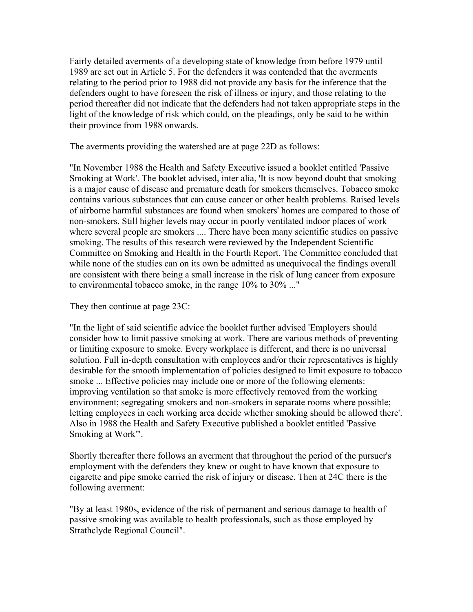Fairly detailed averments of a developing state of knowledge from before 1979 until 1989 are set out in Article 5. For the defenders it was contended that the averments relating to the period prior to 1988 did not provide any basis for the inference that the defenders ought to have foreseen the risk of illness or injury, and those relating to the period thereafter did not indicate that the defenders had not taken appropriate steps in the light of the knowledge of risk which could, on the pleadings, only be said to be within their province from 1988 onwards.

The averments providing the watershed are at page 22D as follows:

"In November 1988 the Health and Safety Executive issued a booklet entitled 'Passive Smoking at Work'. The booklet advised, inter alia, 'It is now beyond doubt that smoking is a major cause of disease and premature death for smokers themselves. Tobacco smoke contains various substances that can cause cancer or other health problems. Raised levels of airborne harmful substances are found when smokers' homes are compared to those of non-smokers. Still higher levels may occur in poorly ventilated indoor places of work where several people are smokers .... There have been many scientific studies on passive smoking. The results of this research were reviewed by the Independent Scientific Committee on Smoking and Health in the Fourth Report. The Committee concluded that while none of the studies can on its own be admitted as unequivocal the findings overall are consistent with there being a small increase in the risk of lung cancer from exposure to environmental tobacco smoke, in the range 10% to 30% ..."

They then continue at page 23C:

"In the light of said scientific advice the booklet further advised 'Employers should consider how to limit passive smoking at work. There are various methods of preventing or limiting exposure to smoke. Every workplace is different, and there is no universal solution. Full in-depth consultation with employees and/or their representatives is highly desirable for the smooth implementation of policies designed to limit exposure to tobacco smoke ... Effective policies may include one or more of the following elements: improving ventilation so that smoke is more effectively removed from the working environment; segregating smokers and non-smokers in separate rooms where possible; letting employees in each working area decide whether smoking should be allowed there'. Also in 1988 the Health and Safety Executive published a booklet entitled 'Passive Smoking at Work'".

Shortly thereafter there follows an averment that throughout the period of the pursuer's employment with the defenders they knew or ought to have known that exposure to cigarette and pipe smoke carried the risk of injury or disease. Then at 24C there is the following averment:

"By at least 1980s, evidence of the risk of permanent and serious damage to health of passive smoking was available to health professionals, such as those employed by Strathclyde Regional Council".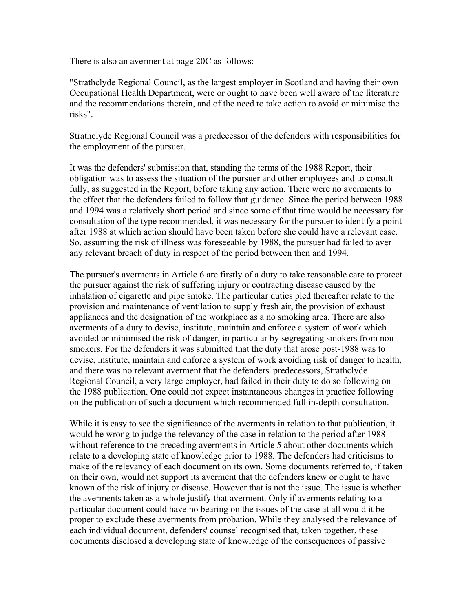There is also an averment at page 20C as follows:

"Strathclyde Regional Council, as the largest employer in Scotland and having their own Occupational Health Department, were or ought to have been well aware of the literature and the recommendations therein, and of the need to take action to avoid or minimise the risks".

Strathclyde Regional Council was a predecessor of the defenders with responsibilities for the employment of the pursuer.

It was the defenders' submission that, standing the terms of the 1988 Report, their obligation was to assess the situation of the pursuer and other employees and to consult fully, as suggested in the Report, before taking any action. There were no averments to the effect that the defenders failed to follow that guidance. Since the period between 1988 and 1994 was a relatively short period and since some of that time would be necessary for consultation of the type recommended, it was necessary for the pursuer to identify a point after 1988 at which action should have been taken before she could have a relevant case. So, assuming the risk of illness was foreseeable by 1988, the pursuer had failed to aver any relevant breach of duty in respect of the period between then and 1994.

The pursuer's averments in Article 6 are firstly of a duty to take reasonable care to protect the pursuer against the risk of suffering injury or contracting disease caused by the inhalation of cigarette and pipe smoke. The particular duties pled thereafter relate to the provision and maintenance of ventilation to supply fresh air, the provision of exhaust appliances and the designation of the workplace as a no smoking area. There are also averments of a duty to devise, institute, maintain and enforce a system of work which avoided or minimised the risk of danger, in particular by segregating smokers from nonsmokers. For the defenders it was submitted that the duty that arose post-1988 was to devise, institute, maintain and enforce a system of work avoiding risk of danger to health, and there was no relevant averment that the defenders' predecessors, Strathclyde Regional Council, a very large employer, had failed in their duty to do so following on the 1988 publication. One could not expect instantaneous changes in practice following on the publication of such a document which recommended full in-depth consultation.

While it is easy to see the significance of the averments in relation to that publication, it would be wrong to judge the relevancy of the case in relation to the period after 1988 without reference to the preceding averments in Article 5 about other documents which relate to a developing state of knowledge prior to 1988. The defenders had criticisms to make of the relevancy of each document on its own. Some documents referred to, if taken on their own, would not support its averment that the defenders knew or ought to have known of the risk of injury or disease. However that is not the issue. The issue is whether the averments taken as a whole justify that averment. Only if averments relating to a particular document could have no bearing on the issues of the case at all would it be proper to exclude these averments from probation. While they analysed the relevance of each individual document, defenders' counsel recognised that, taken together, these documents disclosed a developing state of knowledge of the consequences of passive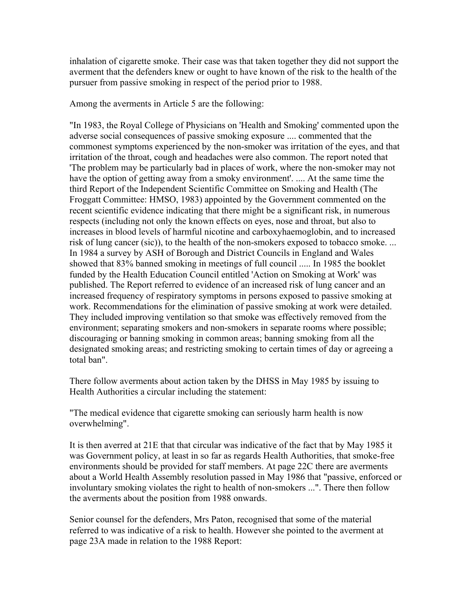inhalation of cigarette smoke. Their case was that taken together they did not support the averment that the defenders knew or ought to have known of the risk to the health of the pursuer from passive smoking in respect of the period prior to 1988.

Among the averments in Article 5 are the following:

"In 1983, the Royal College of Physicians on 'Health and Smoking' commented upon the adverse social consequences of passive smoking exposure .... commented that the commonest symptoms experienced by the non-smoker was irritation of the eyes, and that irritation of the throat, cough and headaches were also common. The report noted that 'The problem may be particularly bad in places of work, where the non-smoker may not have the option of getting away from a smoky environment'. .... At the same time the third Report of the Independent Scientific Committee on Smoking and Health (The Froggatt Committee: HMSO, 1983) appointed by the Government commented on the recent scientific evidence indicating that there might be a significant risk, in numerous respects (including not only the known effects on eyes, nose and throat, but also to increases in blood levels of harmful nicotine and carboxyhaemoglobin, and to increased risk of lung cancer (sic)), to the health of the non-smokers exposed to tobacco smoke. ... In 1984 a survey by ASH of Borough and District Councils in England and Wales showed that 83% banned smoking in meetings of full council ..... In 1985 the booklet funded by the Health Education Council entitled 'Action on Smoking at Work' was published. The Report referred to evidence of an increased risk of lung cancer and an increased frequency of respiratory symptoms in persons exposed to passive smoking at work. Recommendations for the elimination of passive smoking at work were detailed. They included improving ventilation so that smoke was effectively removed from the environment; separating smokers and non-smokers in separate rooms where possible; discouraging or banning smoking in common areas; banning smoking from all the designated smoking areas; and restricting smoking to certain times of day or agreeing a total ban".

There follow averments about action taken by the DHSS in May 1985 by issuing to Health Authorities a circular including the statement:

"The medical evidence that cigarette smoking can seriously harm health is now overwhelming".

It is then averred at 21E that that circular was indicative of the fact that by May 1985 it was Government policy, at least in so far as regards Health Authorities, that smoke-free environments should be provided for staff members. At page 22C there are averments about a World Health Assembly resolution passed in May 1986 that "passive, enforced or involuntary smoking violates the right to health of non-smokers ...". There then follow the averments about the position from 1988 onwards.

Senior counsel for the defenders, Mrs Paton, recognised that some of the material referred to was indicative of a risk to health. However she pointed to the averment at page 23A made in relation to the 1988 Report: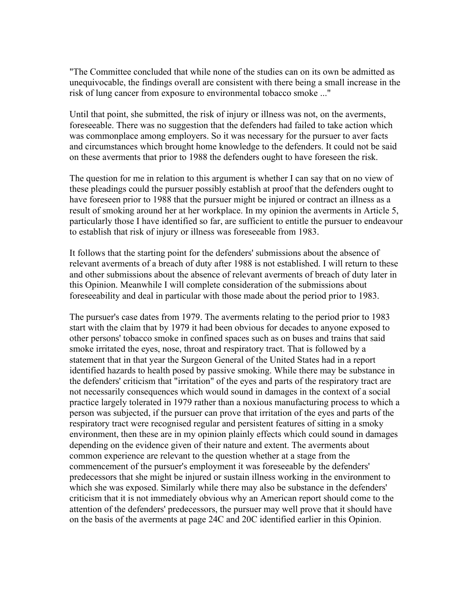"The Committee concluded that while none of the studies can on its own be admitted as unequivocable, the findings overall are consistent with there being a small increase in the risk of lung cancer from exposure to environmental tobacco smoke ..."

Until that point, she submitted, the risk of injury or illness was not, on the averments, foreseeable. There was no suggestion that the defenders had failed to take action which was commonplace among employers. So it was necessary for the pursuer to aver facts and circumstances which brought home knowledge to the defenders. It could not be said on these averments that prior to 1988 the defenders ought to have foreseen the risk.

The question for me in relation to this argument is whether I can say that on no view of these pleadings could the pursuer possibly establish at proof that the defenders ought to have foreseen prior to 1988 that the pursuer might be injured or contract an illness as a result of smoking around her at her workplace. In my opinion the averments in Article 5, particularly those I have identified so far, are sufficient to entitle the pursuer to endeavour to establish that risk of injury or illness was foreseeable from 1983.

It follows that the starting point for the defenders' submissions about the absence of relevant averments of a breach of duty after 1988 is not established. I will return to these and other submissions about the absence of relevant averments of breach of duty later in this Opinion. Meanwhile I will complete consideration of the submissions about foreseeability and deal in particular with those made about the period prior to 1983.

The pursuer's case dates from 1979. The averments relating to the period prior to 1983 start with the claim that by 1979 it had been obvious for decades to anyone exposed to other persons' tobacco smoke in confined spaces such as on buses and trains that said smoke irritated the eyes, nose, throat and respiratory tract. That is followed by a statement that in that year the Surgeon General of the United States had in a report identified hazards to health posed by passive smoking. While there may be substance in the defenders' criticism that "irritation" of the eyes and parts of the respiratory tract are not necessarily consequences which would sound in damages in the context of a social practice largely tolerated in 1979 rather than a noxious manufacturing process to which a person was subjected, if the pursuer can prove that irritation of the eyes and parts of the respiratory tract were recognised regular and persistent features of sitting in a smoky environment, then these are in my opinion plainly effects which could sound in damages depending on the evidence given of their nature and extent. The averments about common experience are relevant to the question whether at a stage from the commencement of the pursuer's employment it was foreseeable by the defenders' predecessors that she might be injured or sustain illness working in the environment to which she was exposed. Similarly while there may also be substance in the defenders' criticism that it is not immediately obvious why an American report should come to the attention of the defenders' predecessors, the pursuer may well prove that it should have on the basis of the averments at page 24C and 20C identified earlier in this Opinion.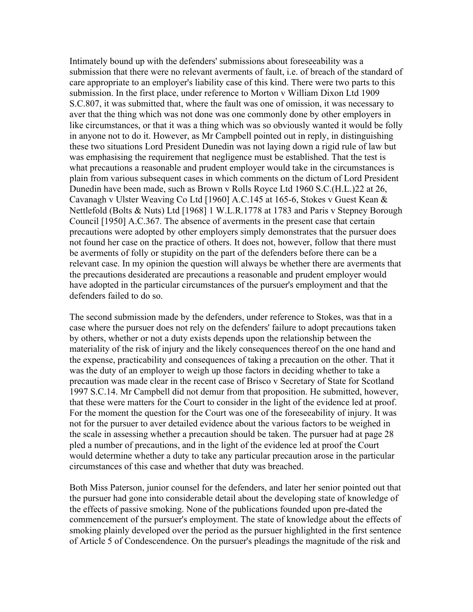Intimately bound up with the defenders' submissions about foreseeability was a submission that there were no relevant averments of fault, i.e. of breach of the standard of care appropriate to an employer's liability case of this kind. There were two parts to this submission. In the first place, under reference to Morton v William Dixon Ltd 1909 S.C.807, it was submitted that, where the fault was one of omission, it was necessary to aver that the thing which was not done was one commonly done by other employers in like circumstances, or that it was a thing which was so obviously wanted it would be folly in anyone not to do it. However, as Mr Campbell pointed out in reply, in distinguishing these two situations Lord President Dunedin was not laying down a rigid rule of law but was emphasising the requirement that negligence must be established. That the test is what precautions a reasonable and prudent employer would take in the circumstances is plain from various subsequent cases in which comments on the dictum of Lord President Dunedin have been made, such as Brown v Rolls Royce Ltd 1960 S.C.(H.L.)22 at 26, Cavanagh v Ulster Weaving Co Ltd [1960] A.C.145 at 165-6, Stokes v Guest Kean & Nettlefold (Bolts & Nuts) Ltd [1968] 1 W.L.R.1778 at 1783 and Paris v Stepney Borough Council [1950] A.C.367. The absence of averments in the present case that certain precautions were adopted by other employers simply demonstrates that the pursuer does not found her case on the practice of others. It does not, however, follow that there must be averments of folly or stupidity on the part of the defenders before there can be a relevant case. In my opinion the question will always be whether there are averments that the precautions desiderated are precautions a reasonable and prudent employer would have adopted in the particular circumstances of the pursuer's employment and that the defenders failed to do so.

The second submission made by the defenders, under reference to Stokes, was that in a case where the pursuer does not rely on the defenders' failure to adopt precautions taken by others, whether or not a duty exists depends upon the relationship between the materiality of the risk of injury and the likely consequences thereof on the one hand and the expense, practicability and consequences of taking a precaution on the other. That it was the duty of an employer to weigh up those factors in deciding whether to take a precaution was made clear in the recent case of Brisco v Secretary of State for Scotland 1997 S.C.14. Mr Campbell did not demur from that proposition. He submitted, however, that these were matters for the Court to consider in the light of the evidence led at proof. For the moment the question for the Court was one of the foreseeability of injury. It was not for the pursuer to aver detailed evidence about the various factors to be weighed in the scale in assessing whether a precaution should be taken. The pursuer had at page 28 pled a number of precautions, and in the light of the evidence led at proof the Court would determine whether a duty to take any particular precaution arose in the particular circumstances of this case and whether that duty was breached.

Both Miss Paterson, junior counsel for the defenders, and later her senior pointed out that the pursuer had gone into considerable detail about the developing state of knowledge of the effects of passive smoking. None of the publications founded upon pre-dated the commencement of the pursuer's employment. The state of knowledge about the effects of smoking plainly developed over the period as the pursuer highlighted in the first sentence of Article 5 of Condescendence. On the pursuer's pleadings the magnitude of the risk and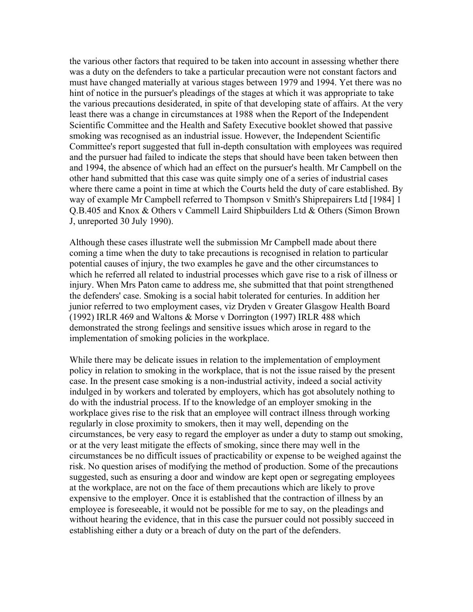the various other factors that required to be taken into account in assessing whether there was a duty on the defenders to take a particular precaution were not constant factors and must have changed materially at various stages between 1979 and 1994. Yet there was no hint of notice in the pursuer's pleadings of the stages at which it was appropriate to take the various precautions desiderated, in spite of that developing state of affairs. At the very least there was a change in circumstances at 1988 when the Report of the Independent Scientific Committee and the Health and Safety Executive booklet showed that passive smoking was recognised as an industrial issue. However, the Independent Scientific Committee's report suggested that full in-depth consultation with employees was required and the pursuer had failed to indicate the steps that should have been taken between then and 1994, the absence of which had an effect on the pursuer's health. Mr Campbell on the other hand submitted that this case was quite simply one of a series of industrial cases where there came a point in time at which the Courts held the duty of care established. By way of example Mr Campbell referred to Thompson v Smith's Shiprepairers Ltd [1984] 1 Q.B.405 and Knox & Others v Cammell Laird Shipbuilders Ltd & Others (Simon Brown J, unreported 30 July 1990).

Although these cases illustrate well the submission Mr Campbell made about there coming a time when the duty to take precautions is recognised in relation to particular potential causes of injury, the two examples he gave and the other circumstances to which he referred all related to industrial processes which gave rise to a risk of illness or injury. When Mrs Paton came to address me, she submitted that that point strengthened the defenders' case. Smoking is a social habit tolerated for centuries. In addition her junior referred to two employment cases, viz Dryden v Greater Glasgow Health Board (1992) IRLR 469 and Waltons & Morse v Dorrington (1997) IRLR 488 which demonstrated the strong feelings and sensitive issues which arose in regard to the implementation of smoking policies in the workplace.

While there may be delicate issues in relation to the implementation of employment policy in relation to smoking in the workplace, that is not the issue raised by the present case. In the present case smoking is a non-industrial activity, indeed a social activity indulged in by workers and tolerated by employers, which has got absolutely nothing to do with the industrial process. If to the knowledge of an employer smoking in the workplace gives rise to the risk that an employee will contract illness through working regularly in close proximity to smokers, then it may well, depending on the circumstances, be very easy to regard the employer as under a duty to stamp out smoking, or at the very least mitigate the effects of smoking, since there may well in the circumstances be no difficult issues of practicability or expense to be weighed against the risk. No question arises of modifying the method of production. Some of the precautions suggested, such as ensuring a door and window are kept open or segregating employees at the workplace, are not on the face of them precautions which are likely to prove expensive to the employer. Once it is established that the contraction of illness by an employee is foreseeable, it would not be possible for me to say, on the pleadings and without hearing the evidence, that in this case the pursuer could not possibly succeed in establishing either a duty or a breach of duty on the part of the defenders.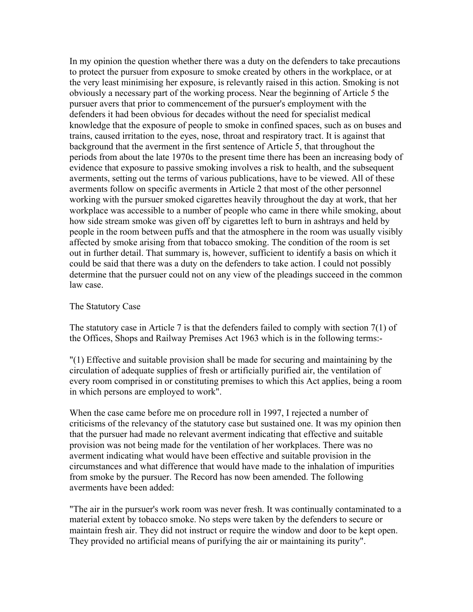In my opinion the question whether there was a duty on the defenders to take precautions to protect the pursuer from exposure to smoke created by others in the workplace, or at the very least minimising her exposure, is relevantly raised in this action. Smoking is not obviously a necessary part of the working process. Near the beginning of Article 5 the pursuer avers that prior to commencement of the pursuer's employment with the defenders it had been obvious for decades without the need for specialist medical knowledge that the exposure of people to smoke in confined spaces, such as on buses and trains, caused irritation to the eyes, nose, throat and respiratory tract. It is against that background that the averment in the first sentence of Article 5, that throughout the periods from about the late 1970s to the present time there has been an increasing body of evidence that exposure to passive smoking involves a risk to health, and the subsequent averments, setting out the terms of various publications, have to be viewed. All of these averments follow on specific averments in Article 2 that most of the other personnel working with the pursuer smoked cigarettes heavily throughout the day at work, that her workplace was accessible to a number of people who came in there while smoking, about how side stream smoke was given off by cigarettes left to burn in ashtrays and held by people in the room between puffs and that the atmosphere in the room was usually visibly affected by smoke arising from that tobacco smoking. The condition of the room is set out in further detail. That summary is, however, sufficient to identify a basis on which it could be said that there was a duty on the defenders to take action. I could not possibly determine that the pursuer could not on any view of the pleadings succeed in the common law case.

# The Statutory Case

The statutory case in Article 7 is that the defenders failed to comply with section 7(1) of the Offices, Shops and Railway Premises Act 1963 which is in the following terms:-

"(1) Effective and suitable provision shall be made for securing and maintaining by the circulation of adequate supplies of fresh or artificially purified air, the ventilation of every room comprised in or constituting premises to which this Act applies, being a room in which persons are employed to work".

When the case came before me on procedure roll in 1997, I rejected a number of criticisms of the relevancy of the statutory case but sustained one. It was my opinion then that the pursuer had made no relevant averment indicating that effective and suitable provision was not being made for the ventilation of her workplaces. There was no averment indicating what would have been effective and suitable provision in the circumstances and what difference that would have made to the inhalation of impurities from smoke by the pursuer. The Record has now been amended. The following averments have been added:

"The air in the pursuer's work room was never fresh. It was continually contaminated to a material extent by tobacco smoke. No steps were taken by the defenders to secure or maintain fresh air. They did not instruct or require the window and door to be kept open. They provided no artificial means of purifying the air or maintaining its purity".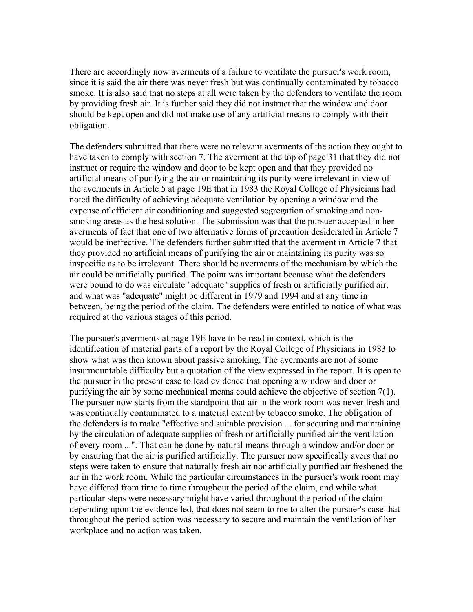There are accordingly now averments of a failure to ventilate the pursuer's work room, since it is said the air there was never fresh but was continually contaminated by tobacco smoke. It is also said that no steps at all were taken by the defenders to ventilate the room by providing fresh air. It is further said they did not instruct that the window and door should be kept open and did not make use of any artificial means to comply with their obligation.

The defenders submitted that there were no relevant averments of the action they ought to have taken to comply with section 7. The averment at the top of page 31 that they did not instruct or require the window and door to be kept open and that they provided no artificial means of purifying the air or maintaining its purity were irrelevant in view of the averments in Article 5 at page 19E that in 1983 the Royal College of Physicians had noted the difficulty of achieving adequate ventilation by opening a window and the expense of efficient air conditioning and suggested segregation of smoking and nonsmoking areas as the best solution. The submission was that the pursuer accepted in her averments of fact that one of two alternative forms of precaution desiderated in Article 7 would be ineffective. The defenders further submitted that the averment in Article 7 that they provided no artificial means of purifying the air or maintaining its purity was so inspecific as to be irrelevant. There should be averments of the mechanism by which the air could be artificially purified. The point was important because what the defenders were bound to do was circulate "adequate" supplies of fresh or artificially purified air, and what was "adequate" might be different in 1979 and 1994 and at any time in between, being the period of the claim. The defenders were entitled to notice of what was required at the various stages of this period.

The pursuer's averments at page 19E have to be read in context, which is the identification of material parts of a report by the Royal College of Physicians in 1983 to show what was then known about passive smoking. The averments are not of some insurmountable difficulty but a quotation of the view expressed in the report. It is open to the pursuer in the present case to lead evidence that opening a window and door or purifying the air by some mechanical means could achieve the objective of section 7(1). The pursuer now starts from the standpoint that air in the work room was never fresh and was continually contaminated to a material extent by tobacco smoke. The obligation of the defenders is to make "effective and suitable provision ... for securing and maintaining by the circulation of adequate supplies of fresh or artificially purified air the ventilation of every room ...". That can be done by natural means through a window and/or door or by ensuring that the air is purified artificially. The pursuer now specifically avers that no steps were taken to ensure that naturally fresh air nor artificially purified air freshened the air in the work room. While the particular circumstances in the pursuer's work room may have differed from time to time throughout the period of the claim, and while what particular steps were necessary might have varied throughout the period of the claim depending upon the evidence led, that does not seem to me to alter the pursuer's case that throughout the period action was necessary to secure and maintain the ventilation of her workplace and no action was taken.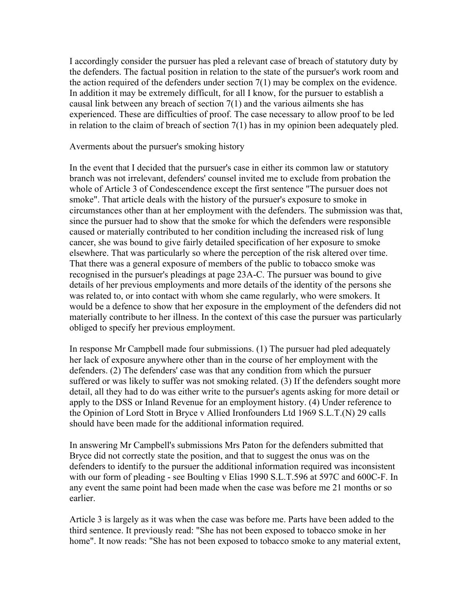I accordingly consider the pursuer has pled a relevant case of breach of statutory duty by the defenders. The factual position in relation to the state of the pursuer's work room and the action required of the defenders under section 7(1) may be complex on the evidence. In addition it may be extremely difficult, for all I know, for the pursuer to establish a causal link between any breach of section 7(1) and the various ailments she has experienced. These are difficulties of proof. The case necessary to allow proof to be led in relation to the claim of breach of section 7(1) has in my opinion been adequately pled.

Averments about the pursuer's smoking history

In the event that I decided that the pursuer's case in either its common law or statutory branch was not irrelevant, defenders' counsel invited me to exclude from probation the whole of Article 3 of Condescendence except the first sentence "The pursuer does not smoke". That article deals with the history of the pursuer's exposure to smoke in circumstances other than at her employment with the defenders. The submission was that, since the pursuer had to show that the smoke for which the defenders were responsible caused or materially contributed to her condition including the increased risk of lung cancer, she was bound to give fairly detailed specification of her exposure to smoke elsewhere. That was particularly so where the perception of the risk altered over time. That there was a general exposure of members of the public to tobacco smoke was recognised in the pursuer's pleadings at page 23A-C. The pursuer was bound to give details of her previous employments and more details of the identity of the persons she was related to, or into contact with whom she came regularly, who were smokers. It would be a defence to show that her exposure in the employment of the defenders did not materially contribute to her illness. In the context of this case the pursuer was particularly obliged to specify her previous employment.

In response Mr Campbell made four submissions. (1) The pursuer had pled adequately her lack of exposure anywhere other than in the course of her employment with the defenders. (2) The defenders' case was that any condition from which the pursuer suffered or was likely to suffer was not smoking related. (3) If the defenders sought more detail, all they had to do was either write to the pursuer's agents asking for more detail or apply to the DSS or Inland Revenue for an employment history. (4) Under reference to the Opinion of Lord Stott in Bryce v Allied Ironfounders Ltd 1969 S.L.T.(N) 29 calls should have been made for the additional information required.

In answering Mr Campbell's submissions Mrs Paton for the defenders submitted that Bryce did not correctly state the position, and that to suggest the onus was on the defenders to identify to the pursuer the additional information required was inconsistent with our form of pleading - see Boulting v Elias 1990 S.L.T.596 at 597C and 600C-F. In any event the same point had been made when the case was before me 21 months or so earlier.

Article 3 is largely as it was when the case was before me. Parts have been added to the third sentence. It previously read: "She has not been exposed to tobacco smoke in her home". It now reads: "She has not been exposed to tobacco smoke to any material extent,